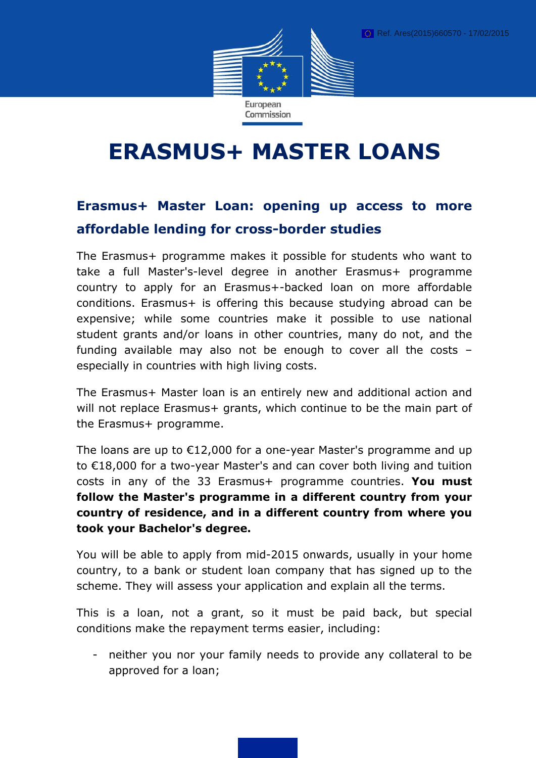

# **ERASMUS+ MASTER LOANS**

# **Erasmus+ Master Loan: opening up access to more affordable lending for cross-border studies**

The Erasmus+ programme makes it possible for students who want to take a full Master's-level degree in another Erasmus+ programme country to apply for an Erasmus+-backed loan on more affordable conditions. Erasmus+ is offering this because studying abroad can be expensive; while some countries make it possible to use national student grants and/or loans in other countries, many do not, and the funding available may also not be enough to cover all the costs – especially in countries with high living costs.

The Erasmus+ Master loan is an entirely new and additional action and will not replace Erasmus+ grants, which continue to be the main part of the Erasmus+ programme.

The loans are up to €12,000 for a one-year Master's programme and up to €18,000 for a two-year Master's and can cover both living and tuition costs in any of the 33 Erasmus+ programme countries. **You must follow the Master's programme in a different country from your country of residence, and in a different country from where you took your Bachelor's degree.**

You will be able to apply from mid-2015 onwards, usually in your home country, to a bank or student loan company that has signed up to the scheme. They will assess your application and explain all the terms.

This is a loan, not a grant, so it must be paid back, but special conditions make the repayment terms easier, including:

- neither you nor your family needs to provide any collateral to be approved for a loan;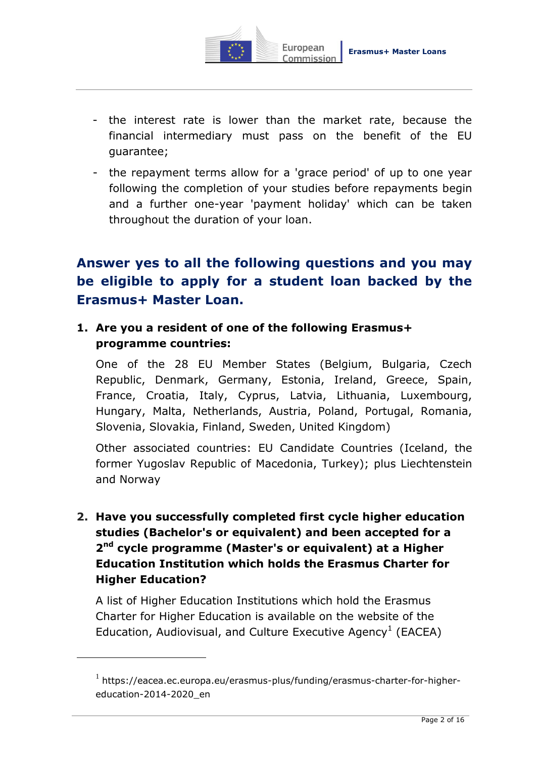

- the interest rate is lower than the market rate, because the financial intermediary must pass on the benefit of the EU guarantee;
- the repayment terms allow for a 'grace period' of up to one year following the completion of your studies before repayments begin and a further one-year 'payment holiday' which can be taken throughout the duration of your loan.

# **Answer yes to all the following questions and you may be eligible to apply for a student loan backed by the Erasmus+ Master Loan.**

## **1. Are you a resident of one of the following Erasmus+ programme countries:**

One of the 28 EU Member States (Belgium, Bulgaria, Czech Republic, Denmark, Germany, Estonia, Ireland, Greece, Spain, France, Croatia, Italy, Cyprus, Latvia, Lithuania, Luxembourg, Hungary, Malta, Netherlands, Austria, Poland, Portugal, Romania, Slovenia, Slovakia, Finland, Sweden, United Kingdom)

Other associated countries: EU Candidate Countries (Iceland, the former Yugoslav Republic of Macedonia, Turkey); plus Liechtenstein and Norway

**2. Have you successfully completed first cycle higher education studies (Bachelor's or equivalent) and been accepted for a 2 nd cycle programme (Master's or equivalent) at a Higher Education Institution which holds the Erasmus Charter for Higher Education?**

A list of Higher Education Institutions which hold the Erasmus Charter for Higher Education is available on the website of the Education, Audiovisual, and Culture Executive Agency<sup>1</sup> (EACEA)

<u>.</u>

 $^{1}$  [https://eacea.ec.europa.eu/erasmus-plus/funding/erasmus-charter-for-higher](https://eacea.ec.europa.eu/erasmus-plus/EIFing/erasmus-charter-for-higher-education-2014-2020_en)[education-2014-2020\\_en](https://eacea.ec.europa.eu/erasmus-plus/EIFing/erasmus-charter-for-higher-education-2014-2020_en)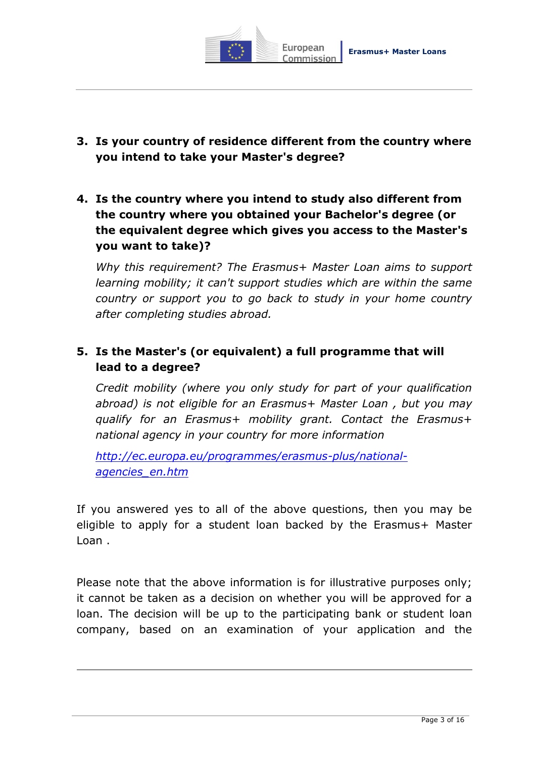

- **3. Is your country of residence different from the country where you intend to take your Master's degree?**
- **4. Is the country where you intend to study also different from the country where you obtained your Bachelor's degree (or the equivalent degree which gives you access to the Master's you want to take)?**

*Why this requirement? The Erasmus+ Master Loan aims to support learning mobility; it can't support studies which are within the same country or support you to go back to study in your home country after completing studies abroad.*

# **5. Is the Master's (or equivalent) a full programme that will lead to a degree?**

*Credit mobility (where you only study for part of your qualification abroad) is not eligible for an Erasmus+ Master Loan , but you may qualify for an Erasmus+ mobility grant. Contact the Erasmus+ national agency in your country for more information*

*[http://ec.europa.eu/programmes/erasmus-plus/national](http://ec.europa.eu/programmes/erasmus-plus/national-agencies_en.htm)[agencies\\_en.htm](http://ec.europa.eu/programmes/erasmus-plus/national-agencies_en.htm)*

If you answered yes to all of the above questions, then you may be eligible to apply for a student loan backed by the Erasmus+ Master Loan .

Please note that the above information is for illustrative purposes only; it cannot be taken as a decision on whether you will be approved for a loan. The decision will be up to the participating bank or student loan company, based on an examination of your application and the

1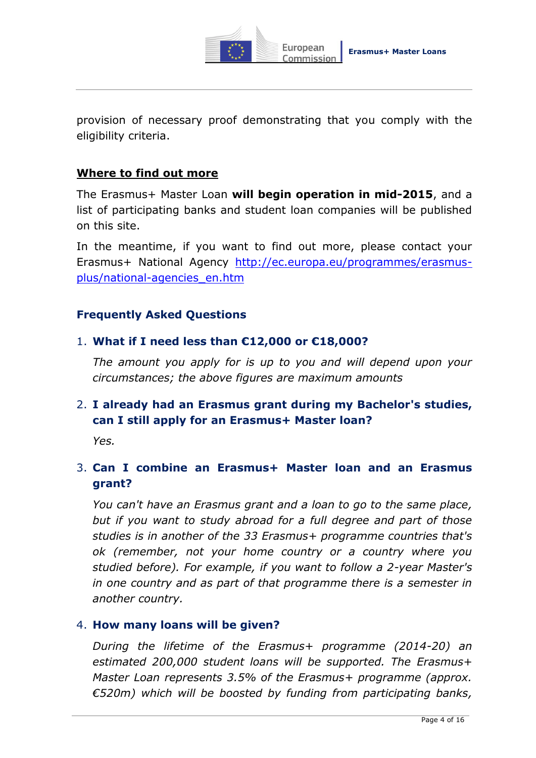

provision of necessary proof demonstrating that you comply with the eligibility criteria.

#### **Where to find out more**

The Erasmus+ Master Loan **will begin operation in mid-2015**, and a list of participating banks and student loan companies will be published on this site.

In the meantime, if you want to find out more, please contact your Erasmus+ National Agency [http://ec.europa.eu/programmes/erasmus](http://ec.europa.eu/programmes/erasmus-plus/national-agencies_en.htm)[plus/national-agencies\\_en.htm](http://ec.europa.eu/programmes/erasmus-plus/national-agencies_en.htm)

#### **Frequently Asked Questions**

#### 1. **What if I need less than €12,000 or €18,000?**

*The amount you apply for is up to you and will depend upon your circumstances; the above figures are maximum amounts*

### 2. **I already had an Erasmus grant during my Bachelor's studies, can I still apply for an Erasmus+ Master loan?**

*Yes.* 

# 3. **Can I combine an Erasmus+ Master loan and an Erasmus grant?**

*You can't have an Erasmus grant and a loan to go to the same place, but if you want to study abroad for a full degree and part of those studies is in another of the 33 Erasmus+ programme countries that's ok (remember, not your home country or a country where you studied before). For example, if you want to follow a 2-year Master's in one country and as part of that programme there is a semester in another country.* 

#### 4. **How many loans will be given?**

*During the lifetime of the Erasmus+ programme (2014-20) an estimated 200,000 student loans will be supported. The Erasmus+ Master Loan represents 3.5% of the Erasmus+ programme (approx. €520m) which will be boosted by funding from participating banks,*